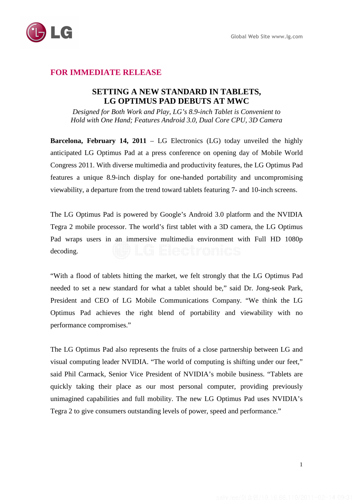

# **FOR IMMEDIATE RELEASE**

## **SETTING A NEW STANDARD IN TABLETS, LG OPTIMUS PAD DEBUTS AT MWC**

*Designed for Both Work and Play, LG's 8.9-inch Tablet is Convenient to Hold with One Hand; Features Android 3.0, Dual Core CPU, 3D Camera* 

**Barcelona, February 14, 2011** – LG Electronics (LG) today unveiled the highly anticipated LG Optimus Pad at a press conference on opening day of Mobile World Congress 2011. With diverse multimedia and productivity features, the LG Optimus Pad features a unique 8.9-inch display for one-handed portability and uncompromising viewability, a departure from the trend toward tablets featuring 7- and 10-inch screens.

The LG Optimus Pad is powered by Google's Android 3.0 platform and the NVIDIA Tegra 2 mobile processor. The world's first tablet with a 3D camera, the LG Optimus Pad wraps users in an immersive multimedia environment with Full HD 1080p decoding.

"With a flood of tablets hitting the market, we felt strongly that the LG Optimus Pad needed to set a new standard for what a tablet should be," said Dr. Jong-seok Park, President and CEO of LG Mobile Communications Company. "We think the LG Optimus Pad achieves the right blend of portability and viewability with no performance compromises."

The LG Optimus Pad also represents the fruits of a close partnership between LG and visual computing leader NVIDIA. "The world of computing is shifting under our feet," said Phil Carmack, Senior Vice President of NVIDIA's mobile business. "Tablets are quickly taking their place as our most personal computer, providing previously unimagined capabilities and full mobility. The new LG Optimus Pad uses NVIDIA's Tegra 2 to give consumers outstanding levels of power, speed and performance."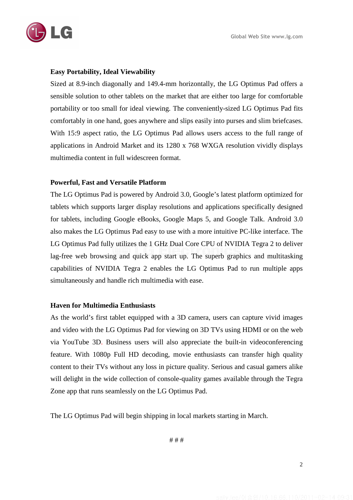

### **Easy Portability, Ideal Viewability**

Sized at 8.9-inch diagonally and 149.4-mm horizontally, the LG Optimus Pad offers a sensible solution to other tablets on the market that are either too large for comfortable portability or too small for ideal viewing. The conveniently-sized LG Optimus Pad fits comfortably in one hand, goes anywhere and slips easily into purses and slim briefcases. With 15:9 aspect ratio, the LG Optimus Pad allows users access to the full range of applications in Android Market and its 1280 x 768 WXGA resolution vividly displays multimedia content in full widescreen format.

### **Powerful, Fast and Versatile Platform**

The LG Optimus Pad is powered by Android 3.0, Google's latest platform optimized for tablets which supports larger display resolutions and applications specifically designed for tablets, including Google eBooks, Google Maps 5, and Google Talk. Android 3.0 also makes the LG Optimus Pad easy to use with a more intuitive PC-like interface. The LG Optimus Pad fully utilizes the 1 GHz Dual Core CPU of NVIDIA Tegra 2 to deliver lag-free web browsing and quick app start up. The superb graphics and multitasking capabilities of NVIDIA Tegra 2 enables the LG Optimus Pad to run multiple apps simultaneously and handle rich multimedia with ease.

#### **Haven for Multimedia Enthusiasts**

As the world's first tablet equipped with a 3D camera, users can capture vivid images and video with the LG Optimus Pad for viewing on 3D TVs using HDMI or on the web via YouTube 3D. Business users will also appreciate the built-in videoconferencing feature. With 1080p Full HD decoding, movie enthusiasts can transfer high quality content to their TVs without any loss in picture quality. Serious and casual gamers alike will delight in the wide collection of console-quality games available through the Tegra Zone app that runs seamlessly on the LG Optimus Pad.

The LG Optimus Pad will begin shipping in local markets starting in March.

# # #